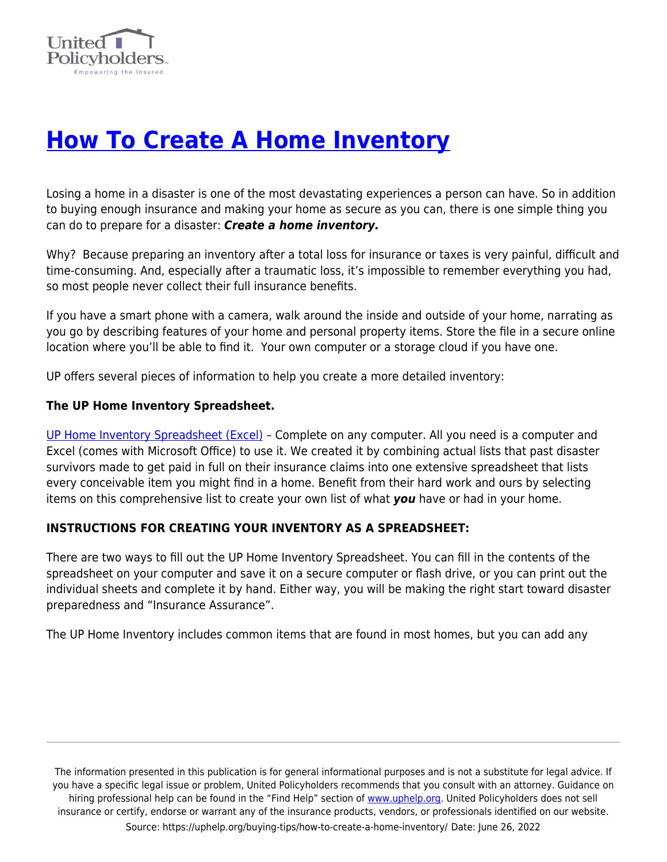

# **[How To Create A Home Inventory](https://uphelp.org/buying-tips/how-to-create-a-home-inventory/)**

Losing a home in a disaster is one of the most devastating experiences a person can have. So in addition to buying enough insurance and making your home as secure as you can, there is one simple thing you can do to prepare for a disaster: *Create a home inventory.*

Why? Because preparing an inventory after a total loss for insurance or taxes is very painful, difficult and time-consuming. And, especially after a traumatic loss, it's impossible to remember everything you had, so most people never collect their full insurance benefits.

If you have a smart phone with a camera, walk around the inside and outside of your home, narrating as you go by describing features of your home and personal property items. Store the file in a secure online location where you'll be able to find it. Your own computer or a storage cloud if you have one.

UP offers several pieces of information to help you create a more detailed inventory:

### **The UP Home Inventory Spreadsheet.**

[UP Home Inventory Spreadsheet \(Excel\)](https://uphelp.org/wp-content/uploads/2020/12/UP-Home-Inventory-v2-3.29.12.xls) – Complete on any computer. All you need is a computer and Excel (comes with Microsoft Office) to use it. We created it by combining actual lists that past disaster survivors made to get paid in full on their insurance claims into one extensive spreadsheet that lists every conceivable item you might find in a home. Benefit from their hard work and ours by selecting items on this comprehensive list to create your own list of what *you* have or had in your home.

# **INSTRUCTIONS FOR CREATING YOUR INVENTORY AS A SPREADSHEET:**

There are two ways to fill out the UP Home Inventory Spreadsheet. You can fill in the contents of the spreadsheet on your computer and save it on a secure computer or flash drive, or you can print out the individual sheets and complete it by hand. Either way, you will be making the right start toward disaster preparedness and "Insurance Assurance".

The UP Home Inventory includes common items that are found in most homes, but you can add any

The information presented in this publication is for general informational purposes and is not a substitute for legal advice. If you have a specific legal issue or problem, United Policyholders recommends that you consult with an attorney. Guidance on hiring professional help can be found in the "Find Help" section of [www.uphelp.org.](http://www.uphelp.org/) United Policyholders does not sell insurance or certify, endorse or warrant any of the insurance products, vendors, or professionals identified on our website. Source: https://uphelp.org/buying-tips/how-to-create-a-home-inventory/ Date: June 26, 2022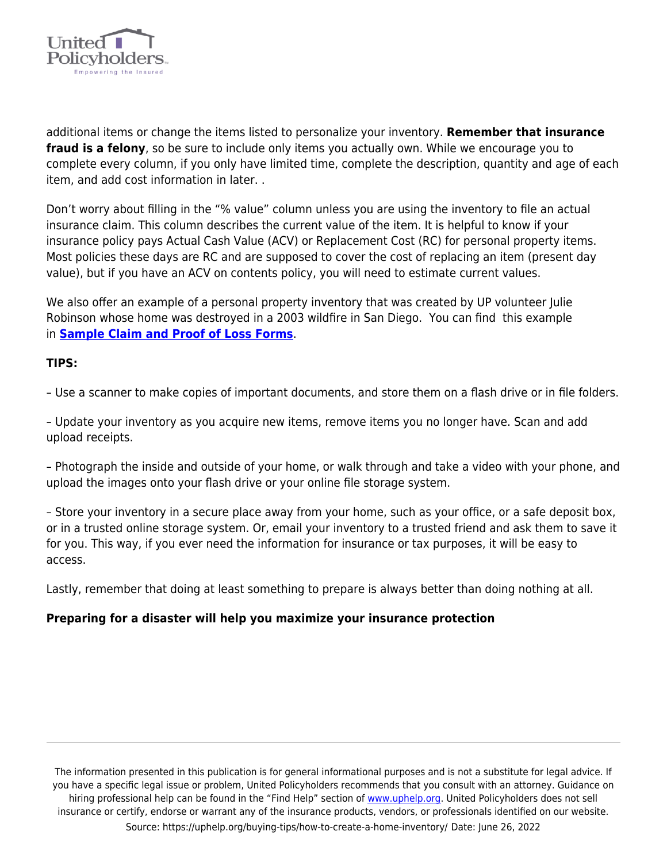

additional items or change the items listed to personalize your inventory. **Remember that insurance fraud is a felony**, so be sure to include only items you actually own. While we encourage you to complete every column, if you only have limited time, complete the description, quantity and age of each item, and add cost information in later. .

Don't worry about filling in the "% value" column unless you are using the inventory to file an actual insurance claim. This column describes the current value of the item. It is helpful to know if your insurance policy pays Actual Cash Value (ACV) or Replacement Cost (RC) for personal property items. Most policies these days are RC and are supposed to cover the cost of replacing an item (present day value), but if you have an ACV on contents policy, you will need to estimate current values.

We also offer an example of a personal property inventory that was created by UP volunteer Julie Robinson whose home was destroyed in a 2003 wildfire in San Diego. You can find this example in **[Sample Claim and Proof of Loss Forms](https://uphelp.org/samples)**.

### **TIPS:**

– Use a scanner to make copies of important documents, and store them on a flash drive or in file folders.

– Update your inventory as you acquire new items, remove items you no longer have. Scan and add upload receipts.

– Photograph the inside and outside of your home, or walk through and take a video with your phone, and upload the images onto your flash drive or your online file storage system.

– Store your inventory in a secure place away from your home, such as your office, or a safe deposit box, or in a trusted online storage system. Or, email your inventory to a trusted friend and ask them to save it for you. This way, if you ever need the information for insurance or tax purposes, it will be easy to access.

Lastly, remember that doing at least something to prepare is always better than doing nothing at all.

# **Preparing for a disaster will help you maximize your insurance protection**

The information presented in this publication is for general informational purposes and is not a substitute for legal advice. If you have a specific legal issue or problem, United Policyholders recommends that you consult with an attorney. Guidance on hiring professional help can be found in the "Find Help" section of [www.uphelp.org.](http://www.uphelp.org/) United Policyholders does not sell insurance or certify, endorse or warrant any of the insurance products, vendors, or professionals identified on our website. Source: https://uphelp.org/buying-tips/how-to-create-a-home-inventory/ Date: June 26, 2022